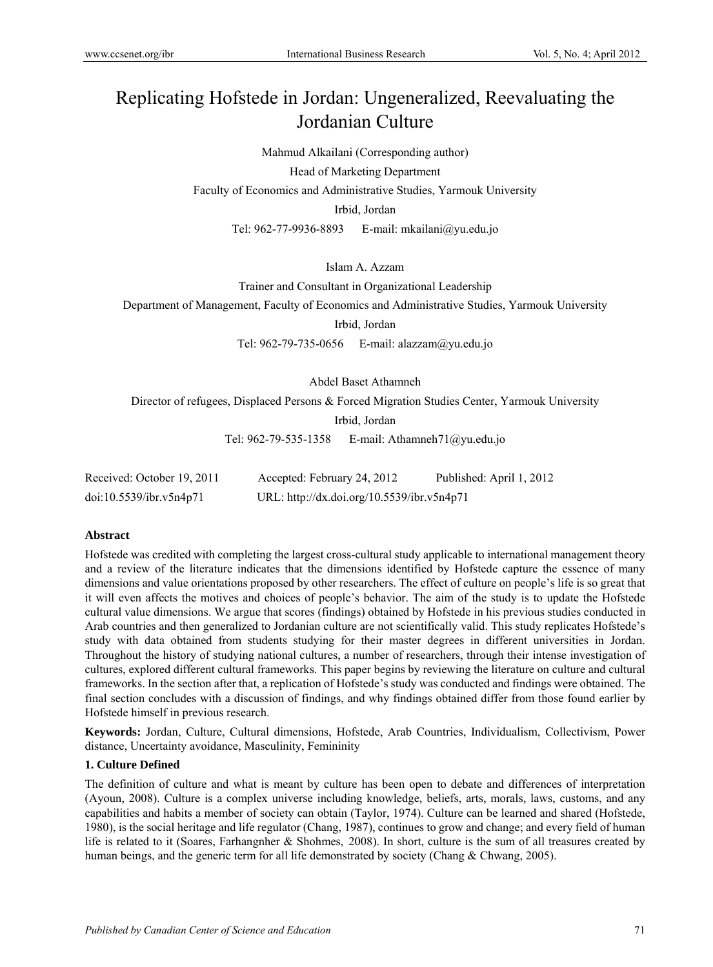# Replicating Hofstede in Jordan: Ungeneralized, Reevaluating the Jordanian Culture

Mahmud Alkailani (Corresponding author)

Head of Marketing Department

Faculty of Economics and Administrative Studies, Yarmouk University

Irbid, Jordan

Tel: 962-77-9936-8893 E-mail: mkailani@yu.edu.jo

Islam A. Azzam

Trainer and Consultant in Organizational Leadership

Department of Management, Faculty of Economics and Administrative Studies, Yarmouk University

Irbid, Jordan

Tel: 962-79-735-0656 E-mail: alazzam@yu.edu.jo

Abdel Baset Athamneh

Director of refugees, Displaced Persons & Forced Migration Studies Center, Yarmouk University

Irbid, Jordan

Tel: 962-79-535-1358 E-mail: Athamneh71@yu.edu.jo

| Received: October 19, 2011 | Accepted: February 24, 2012                | Published: April 1, 2012 |
|----------------------------|--------------------------------------------|--------------------------|
| doi:10.5539/ibr.v5n4p71    | URL: http://dx.doi.org/10.5539/ibr.v5n4p71 |                          |

#### **Abstract**

Hofstede was credited with completing the largest cross-cultural study applicable to international management theory and a review of the literature indicates that the dimensions identified by Hofstede capture the essence of many dimensions and value orientations proposed by other researchers. The effect of culture on people's life is so great that it will even affects the motives and choices of people's behavior. The aim of the study is to update the Hofstede cultural value dimensions. We argue that scores (findings) obtained by Hofstede in his previous studies conducted in Arab countries and then generalized to Jordanian culture are not scientifically valid. This study replicates Hofstede's study with data obtained from students studying for their master degrees in different universities in Jordan. Throughout the history of studying national cultures, a number of researchers, through their intense investigation of cultures, explored different cultural frameworks. This paper begins by reviewing the literature on culture and cultural frameworks. In the section after that, a replication of Hofstede's study was conducted and findings were obtained. The final section concludes with a discussion of findings, and why findings obtained differ from those found earlier by Hofstede himself in previous research.

**Keywords:** Jordan, Culture, Cultural dimensions, Hofstede, Arab Countries, Individualism, Collectivism, Power distance, Uncertainty avoidance, Masculinity, Femininity

#### **1. Culture Defined**

The definition of culture and what is meant by culture has been open to debate and differences of interpretation (Ayoun, 2008). Culture is a complex universe including knowledge, beliefs, arts, morals, laws, customs, and any capabilities and habits a member of society can obtain (Taylor, 1974). Culture can be learned and shared (Hofstede, 1980), is the social heritage and life regulator (Chang, 1987), continues to grow and change; and every field of human life is related to it (Soares, Farhangnher & Shohmes, 2008). In short, culture is the sum of all treasures created by human beings, and the generic term for all life demonstrated by society (Chang & Chwang, 2005).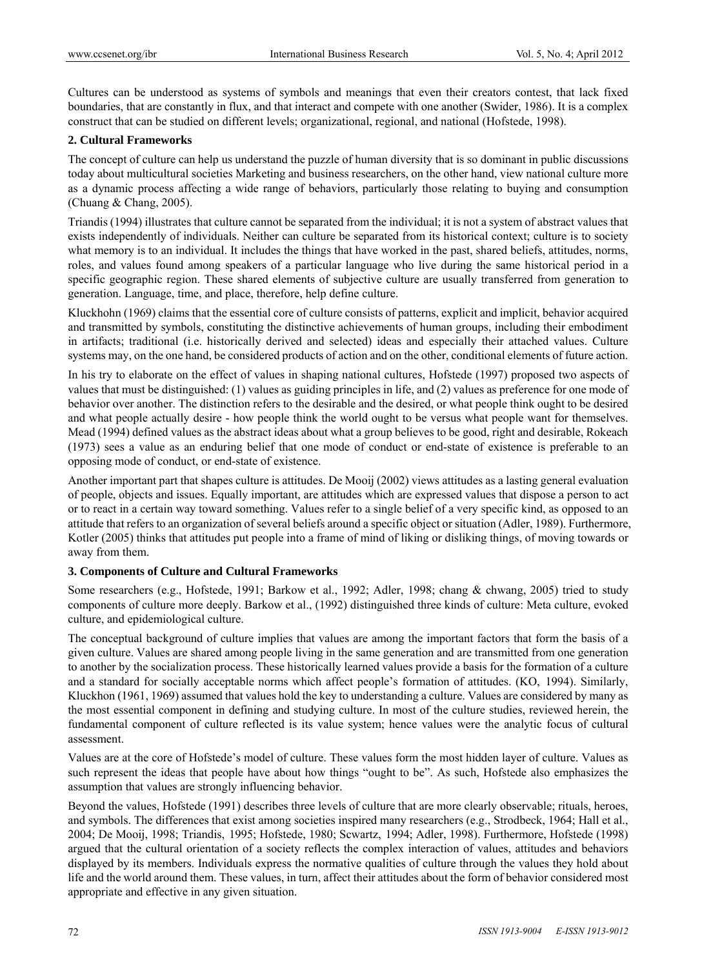Cultures can be understood as systems of symbols and meanings that even their creators contest, that lack fixed boundaries, that are constantly in flux, and that interact and compete with one another (Swider, 1986). It is a complex construct that can be studied on different levels; organizational, regional, and national (Hofstede, 1998).

# **2. Cultural Frameworks**

The concept of culture can help us understand the puzzle of human diversity that is so dominant in public discussions today about multicultural societies Marketing and business researchers, on the other hand, view national culture more as a dynamic process affecting a wide range of behaviors, particularly those relating to buying and consumption (Chuang & Chang, 2005).

Triandis (1994) illustrates that culture cannot be separated from the individual; it is not a system of abstract values that exists independently of individuals. Neither can culture be separated from its historical context; culture is to society what memory is to an individual. It includes the things that have worked in the past, shared beliefs, attitudes, norms, roles, and values found among speakers of a particular language who live during the same historical period in a specific geographic region. These shared elements of subjective culture are usually transferred from generation to generation. Language, time, and place, therefore, help define culture.

Kluckhohn (1969) claims that the essential core of culture consists of patterns, explicit and implicit, behavior acquired and transmitted by symbols, constituting the distinctive achievements of human groups, including their embodiment in artifacts; traditional (i.e. historically derived and selected) ideas and especially their attached values. Culture systems may, on the one hand, be considered products of action and on the other, conditional elements of future action.

In his try to elaborate on the effect of values in shaping national cultures, Hofstede (1997) proposed two aspects of values that must be distinguished: (1) values as guiding principles in life, and (2) values as preference for one mode of behavior over another. The distinction refers to the desirable and the desired, or what people think ought to be desired and what people actually desire - how people think the world ought to be versus what people want for themselves. Mead (1994) defined values as the abstract ideas about what a group believes to be good, right and desirable, Rokeach (1973) sees a value as an enduring belief that one mode of conduct or end-state of existence is preferable to an opposing mode of conduct, or end-state of existence.

Another important part that shapes culture is attitudes. De Mooij (2002) views attitudes as a lasting general evaluation of people, objects and issues. Equally important, are attitudes which are expressed values that dispose a person to act or to react in a certain way toward something. Values refer to a single belief of a very specific kind, as opposed to an attitude that refers to an organization of several beliefs around a specific object or situation (Adler, 1989). Furthermore, Kotler (2005) thinks that attitudes put people into a frame of mind of liking or disliking things, of moving towards or away from them.

# **3. Components of Culture and Cultural Frameworks**

Some researchers (e.g., Hofstede, 1991; Barkow et al., 1992; Adler, 1998; chang & chwang, 2005) tried to study components of culture more deeply. Barkow et al., (1992) distinguished three kinds of culture: Meta culture, evoked culture, and epidemiological culture.

The conceptual background of culture implies that values are among the important factors that form the basis of a given culture. Values are shared among people living in the same generation and are transmitted from one generation to another by the socialization process. These historically learned values provide a basis for the formation of a culture and a standard for socially acceptable norms which affect people's formation of attitudes. (KO, 1994). Similarly, Kluckhon (1961, 1969) assumed that values hold the key to understanding a culture. Values are considered by many as the most essential component in defining and studying culture. In most of the culture studies, reviewed herein, the fundamental component of culture reflected is its value system; hence values were the analytic focus of cultural assessment.

Values are at the core of Hofstede's model of culture. These values form the most hidden layer of culture. Values as such represent the ideas that people have about how things "ought to be". As such, Hofstede also emphasizes the assumption that values are strongly influencing behavior.

Beyond the values, Hofstede (1991) describes three levels of culture that are more clearly observable; rituals, heroes, and symbols. The differences that exist among societies inspired many researchers (e.g., Strodbeck, 1964; Hall et al., 2004; De Mooij, 1998; Triandis, 1995; Hofstede, 1980; Scwartz, 1994; Adler, 1998). Furthermore, Hofstede (1998) argued that the cultural orientation of a society reflects the complex interaction of values, attitudes and behaviors displayed by its members. Individuals express the normative qualities of culture through the values they hold about life and the world around them. These values, in turn, affect their attitudes about the form of behavior considered most appropriate and effective in any given situation.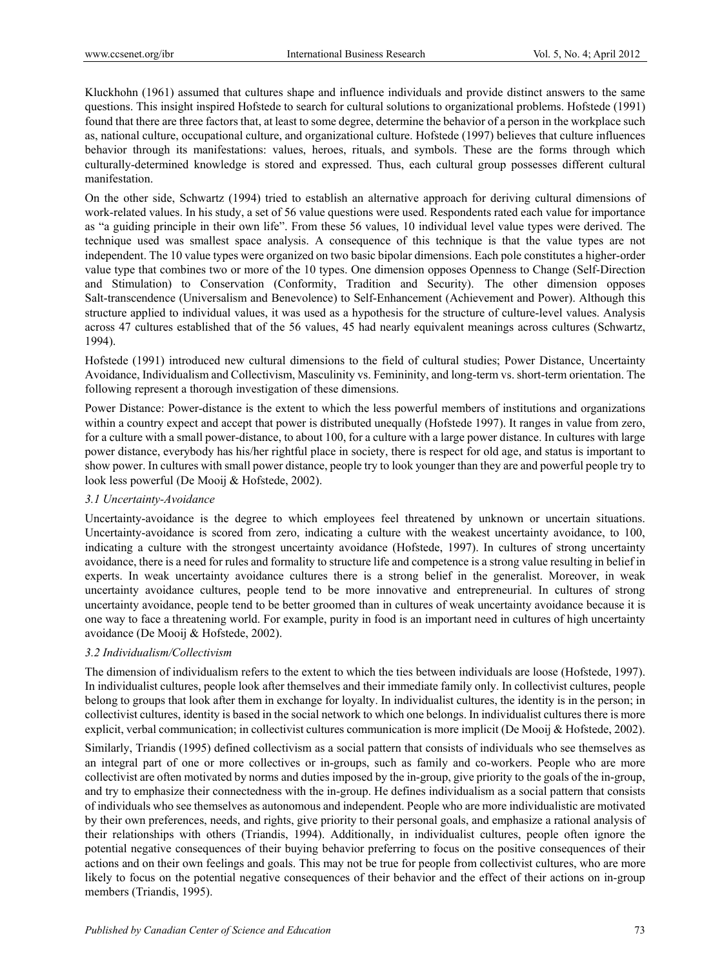Kluckhohn (1961) assumed that cultures shape and influence individuals and provide distinct answers to the same questions. This insight inspired Hofstede to search for cultural solutions to organizational problems. Hofstede (1991) found that there are three factors that, at least to some degree, determine the behavior of a person in the workplace such as, national culture, occupational culture, and organizational culture. Hofstede (1997) believes that culture influences behavior through its manifestations: values, heroes, rituals, and symbols. These are the forms through which culturally-determined knowledge is stored and expressed. Thus, each cultural group possesses different cultural manifestation.

On the other side, Schwartz (1994) tried to establish an alternative approach for deriving cultural dimensions of work-related values. In his study, a set of 56 value questions were used. Respondents rated each value for importance as "a guiding principle in their own life". From these 56 values, 10 individual level value types were derived. The technique used was smallest space analysis. A consequence of this technique is that the value types are not independent. The 10 value types were organized on two basic bipolar dimensions. Each pole constitutes a higher-order value type that combines two or more of the 10 types. One dimension opposes Openness to Change (Self-Direction and Stimulation) to Conservation (Conformity, Tradition and Security). The other dimension opposes Salt-transcendence (Universalism and Benevolence) to Self-Enhancement (Achievement and Power). Although this structure applied to individual values, it was used as a hypothesis for the structure of culture-level values. Analysis across 47 cultures established that of the 56 values, 45 had nearly equivalent meanings across cultures (Schwartz, 1994).

Hofstede (1991) introduced new cultural dimensions to the field of cultural studies; Power Distance, Uncertainty Avoidance, Individualism and Collectivism, Masculinity vs. Femininity, and long-term vs. short-term orientation. The following represent a thorough investigation of these dimensions.

Power Distance: Power-distance is the extent to which the less powerful members of institutions and organizations within a country expect and accept that power is distributed unequally (Hofstede 1997). It ranges in value from zero, for a culture with a small power-distance, to about 100, for a culture with a large power distance. In cultures with large power distance, everybody has his/her rightful place in society, there is respect for old age, and status is important to show power. In cultures with small power distance, people try to look younger than they are and powerful people try to look less powerful (De Mooij & Hofstede, 2002).

# *3.1 Uncertainty-Avoidance*

Uncertainty-avoidance is the degree to which employees feel threatened by unknown or uncertain situations. Uncertainty-avoidance is scored from zero, indicating a culture with the weakest uncertainty avoidance, to 100, indicating a culture with the strongest uncertainty avoidance (Hofstede, 1997). In cultures of strong uncertainty avoidance, there is a need for rules and formality to structure life and competence is a strong value resulting in belief in experts. In weak uncertainty avoidance cultures there is a strong belief in the generalist. Moreover, in weak uncertainty avoidance cultures, people tend to be more innovative and entrepreneurial. In cultures of strong uncertainty avoidance, people tend to be better groomed than in cultures of weak uncertainty avoidance because it is one way to face a threatening world. For example, purity in food is an important need in cultures of high uncertainty avoidance (De Mooij & Hofstede, 2002).

# *3.2 Individualism/Collectivism*

The dimension of individualism refers to the extent to which the ties between individuals are loose (Hofstede, 1997). In individualist cultures, people look after themselves and their immediate family only. In collectivist cultures, people belong to groups that look after them in exchange for loyalty. In individualist cultures, the identity is in the person; in collectivist cultures, identity is based in the social network to which one belongs. In individualist cultures there is more explicit, verbal communication; in collectivist cultures communication is more implicit (De Mooij & Hofstede, 2002).

Similarly, Triandis (1995) defined collectivism as a social pattern that consists of individuals who see themselves as an integral part of one or more collectives or in-groups, such as family and co-workers. People who are more collectivist are often motivated by norms and duties imposed by the in-group, give priority to the goals of the in-group, and try to emphasize their connectedness with the in-group. He defines individualism as a social pattern that consists of individuals who see themselves as autonomous and independent. People who are more individualistic are motivated by their own preferences, needs, and rights, give priority to their personal goals, and emphasize a rational analysis of their relationships with others (Triandis, 1994). Additionally, in individualist cultures, people often ignore the potential negative consequences of their buying behavior preferring to focus on the positive consequences of their actions and on their own feelings and goals. This may not be true for people from collectivist cultures, who are more likely to focus on the potential negative consequences of their behavior and the effect of their actions on in-group members (Triandis, 1995).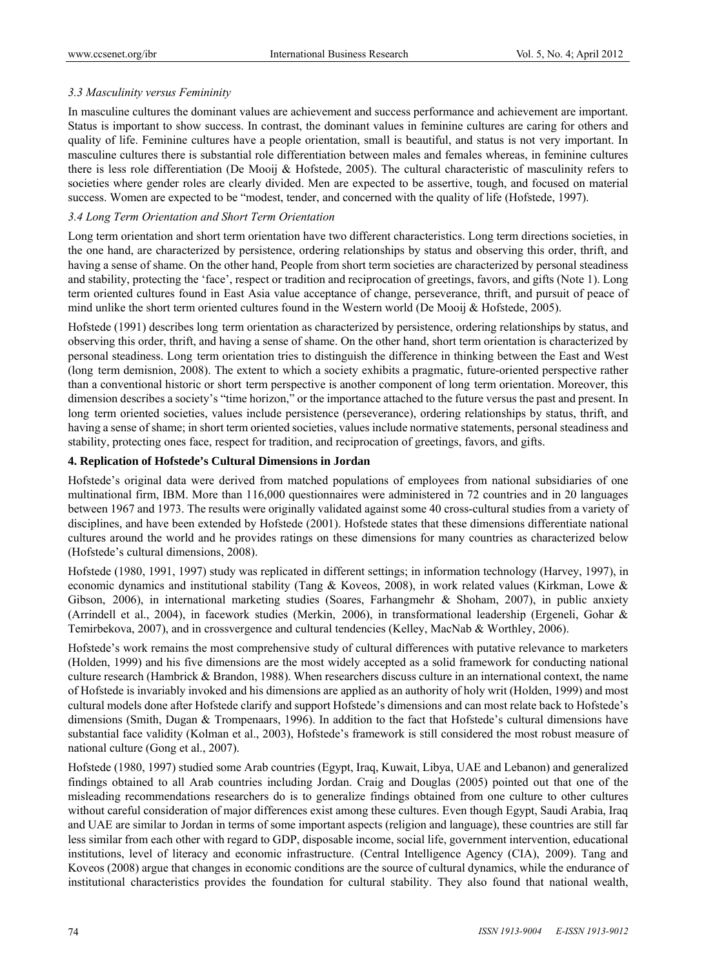# *3.3 Masculinity versus Femininity*

In masculine cultures the dominant values are achievement and success performance and achievement are important. Status is important to show success. In contrast, the dominant values in feminine cultures are caring for others and quality of life. Feminine cultures have a people orientation, small is beautiful, and status is not very important. In masculine cultures there is substantial role differentiation between males and females whereas, in feminine cultures there is less role differentiation (De Mooij & Hofstede, 2005). The cultural characteristic of masculinity refers to societies where gender roles are clearly divided. Men are expected to be assertive, tough, and focused on material success. Women are expected to be "modest, tender, and concerned with the quality of life (Hofstede, 1997).

### *3.4 Long Term Orientation and Short Term Orientation*

Long term orientation and short term orientation have two different characteristics. Long term directions societies, in the one hand, are characterized by persistence, ordering relationships by status and observing this order, thrift, and having a sense of shame. On the other hand, People from short term societies are characterized by personal steadiness and stability, protecting the 'face', respect or tradition and reciprocation of greetings, favors, and gifts (Note 1). Long term oriented cultures found in East Asia value acceptance of change, perseverance, thrift, and pursuit of peace of mind unlike the short term oriented cultures found in the Western world (De Mooij & Hofstede, 2005).

Hofstede (1991) describes long term orientation as characterized by persistence, ordering relationships by status, and observing this order, thrift, and having a sense of shame. On the other hand, short term orientation is characterized by personal steadiness. Long term orientation tries to distinguish the difference in thinking between the East and West (long term demisnion, 2008). The extent to which a society exhibits a pragmatic, future-oriented perspective rather than a conventional historic or short term perspective is another component of long term orientation. Moreover, this dimension describes a society's "time horizon," or the importance attached to the future versus the past and present. In long term oriented societies, values include persistence (perseverance), ordering relationships by status, thrift, and having a sense of shame; in short term oriented societies, values include normative statements, personal steadiness and stability, protecting ones face, respect for tradition, and reciprocation of greetings, favors, and gifts.

# **4. Replication of Hofstede's Cultural Dimensions in Jordan**

Hofstede's original data were derived from matched populations of employees from national subsidiaries of one multinational firm, IBM. More than 116,000 questionnaires were administered in 72 countries and in 20 languages between 1967 and 1973. The results were originally validated against some 40 cross-cultural studies from a variety of disciplines, and have been extended by Hofstede (2001). Hofstede states that these dimensions differentiate national cultures around the world and he provides ratings on these dimensions for many countries as characterized below (Hofstede's cultural dimensions, 2008).

Hofstede (1980, 1991, 1997) study was replicated in different settings; in information technology (Harvey, 1997), in economic dynamics and institutional stability (Tang & Koveos, 2008), in work related values (Kirkman, Lowe & Gibson, 2006), in international marketing studies (Soares, Farhangmehr & Shoham, 2007), in public anxiety (Arrindell et al., 2004), in facework studies (Merkin, 2006), in transformational leadership (Ergeneli, Gohar & Temirbekova, 2007), and in crossvergence and cultural tendencies (Kelley, MacNab & Worthley, 2006).

Hofstede's work remains the most comprehensive study of cultural differences with putative relevance to marketers (Holden, 1999) and his five dimensions are the most widely accepted as a solid framework for conducting national culture research (Hambrick & Brandon, 1988). When researchers discuss culture in an international context, the name of Hofstede is invariably invoked and his dimensions are applied as an authority of holy writ (Holden, 1999) and most cultural models done after Hofstede clarify and support Hofstede's dimensions and can most relate back to Hofstede's dimensions (Smith, Dugan & Trompenaars, 1996). In addition to the fact that Hofstede's cultural dimensions have substantial face validity (Kolman et al., 2003), Hofstede's framework is still considered the most robust measure of national culture (Gong et al., 2007).

Hofstede (1980, 1997) studied some Arab countries (Egypt, Iraq, Kuwait, Libya, UAE and Lebanon) and generalized findings obtained to all Arab countries including Jordan. Craig and Douglas (2005) pointed out that one of the misleading recommendations researchers do is to generalize findings obtained from one culture to other cultures without careful consideration of major differences exist among these cultures. Even though Egypt, Saudi Arabia, Iraq and UAE are similar to Jordan in terms of some important aspects (religion and language), these countries are still far less similar from each other with regard to GDP, disposable income, social life, government intervention, educational institutions, level of literacy and economic infrastructure. (Central Intelligence Agency (CIA), 2009). Tang and Koveos (2008) argue that changes in economic conditions are the source of cultural dynamics, while the endurance of institutional characteristics provides the foundation for cultural stability. They also found that national wealth,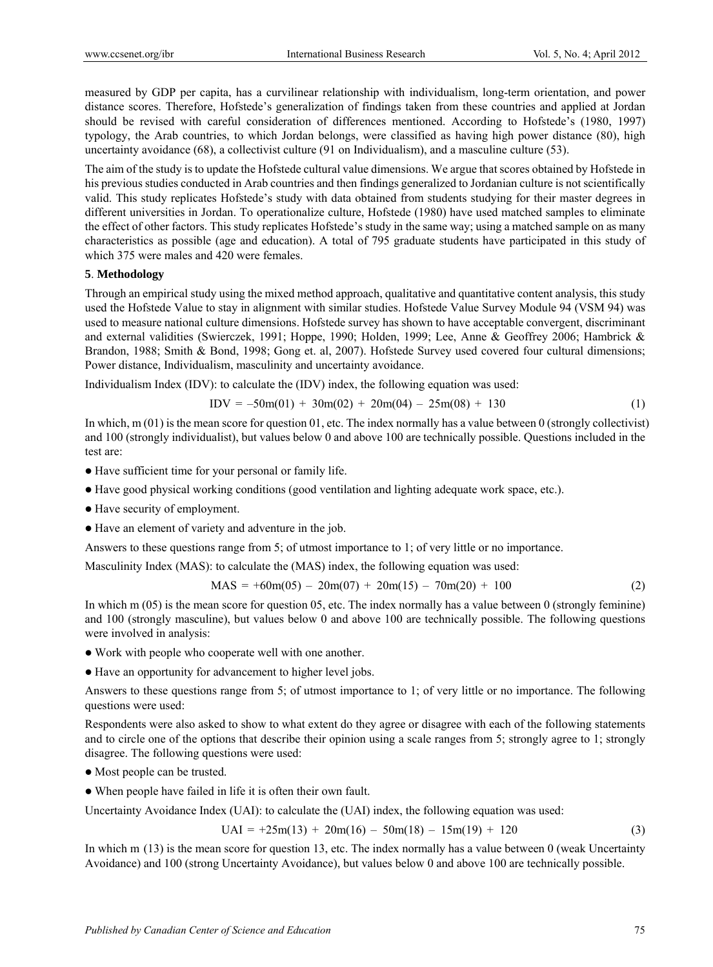measured by GDP per capita, has a curvilinear relationship with individualism, long-term orientation, and power distance scores. Therefore, Hofstede's generalization of findings taken from these countries and applied at Jordan should be revised with careful consideration of differences mentioned. According to Hofstede's (1980, 1997) typology, the Arab countries, to which Jordan belongs, were classified as having high power distance (80), high uncertainty avoidance (68), a collectivist culture (91 on Individualism), and a masculine culture (53).

The aim of the study is to update the Hofstede cultural value dimensions. We argue that scores obtained by Hofstede in his previous studies conducted in Arab countries and then findings generalized to Jordanian culture is not scientifically valid. This study replicates Hofstede's study with data obtained from students studying for their master degrees in different universities in Jordan. To operationalize culture, Hofstede (1980) have used matched samples to eliminate the effect of other factors. This study replicates Hofstede's study in the same way; using a matched sample on as many characteristics as possible (age and education). A total of 795 graduate students have participated in this study of which 375 were males and 420 were females.

#### **5**. **Methodology**

Through an empirical study using the mixed method approach, qualitative and quantitative content analysis, this study used the Hofstede Value to stay in alignment with similar studies. Hofstede Value Survey Module 94 (VSM 94) was used to measure national culture dimensions. Hofstede survey has shown to have acceptable convergent, discriminant and external validities (Swierczek, 1991; Hoppe, 1990; Holden, 1999; Lee, Anne & Geoffrey 2006; Hambrick & Brandon, 1988; Smith & Bond, 1998; Gong et. al, 2007). Hofstede Survey used covered four cultural dimensions; Power distance, Individualism, masculinity and uncertainty avoidance.

Individualism Index (IDV): to calculate the (IDV) index, the following equation was used:

$$
IDV = -50m(01) + 30m(02) + 20m(04) - 25m(08) + 130
$$
 (1)

In which, m  $(01)$  is the mean score for question 01, etc. The index normally has a value between 0 (strongly collectivist) and 100 (strongly individualist), but values below 0 and above 100 are technically possible. Questions included in the test are:

- Have sufficient time for your personal or family life.
- Have good physical working conditions (good ventilation and lighting adequate work space, etc.).
- Have security of employment.
- Have an element of variety and adventure in the job.

Answers to these questions range from 5; of utmost importance to 1; of very little or no importance.

Masculinity Index (MAS): to calculate the (MAS) index, the following equation was used:

$$
MAS = +60m(05) - 20m(07) + 20m(15) - 70m(20) + 100
$$
\n(2)

In which m (05) is the mean score for question 05, etc. The index normally has a value between 0 (strongly feminine) and 100 (strongly masculine), but values below 0 and above 100 are technically possible. The following questions were involved in analysis:

- Work with people who cooperate well with one another.
- Have an opportunity for advancement to higher level jobs.

Answers to these questions range from 5; of utmost importance to 1; of very little or no importance. The following questions were used:

Respondents were also asked to show to what extent do they agree or disagree with each of the following statements and to circle one of the options that describe their opinion using a scale ranges from 5; strongly agree to 1; strongly disagree. The following questions were used:

- Most people can be trusted.
- When people have failed in life it is often their own fault.

Uncertainty Avoidance Index (UAI): to calculate the (UAI) index, the following equation was used:

 $\text{UAI} = +25\text{m}(13) + 20\text{m}(16) - 50\text{m}(18) - 15\text{m}(19) + 120$  (3)

In which m (13) is the mean score for question 13, etc. The index normally has a value between 0 (weak Uncertainty Avoidance) and 100 (strong Uncertainty Avoidance), but values below 0 and above 100 are technically possible.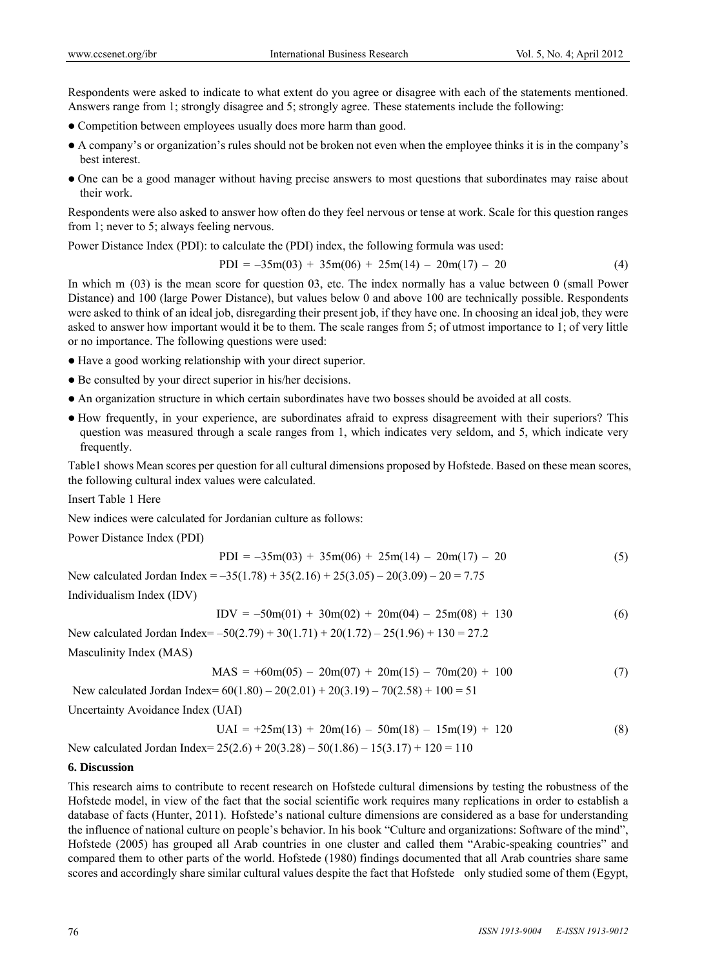Respondents were asked to indicate to what extent do you agree or disagree with each of the statements mentioned. Answers range from 1; strongly disagree and 5; strongly agree. These statements include the following:

- Competition between employees usually does more harm than good.
- A company's or organization's rules should not be broken not even when the employee thinks it is in the company's best interest.
- One can be a good manager without having precise answers to most questions that subordinates may raise about their work.

Respondents were also asked to answer how often do they feel nervous or tense at work. Scale for this question ranges from 1; never to 5; always feeling nervous.

Power Distance Index (PDI): to calculate the (PDI) index, the following formula was used:

$$
PDI = -35m(03) + 35m(06) + 25m(14) - 20m(17) - 20 \tag{4}
$$

In which m (03) is the mean score for question 03, etc. The index normally has a value between 0 (small Power Distance) and 100 (large Power Distance), but values below 0 and above 100 are technically possible. Respondents were asked to think of an ideal job, disregarding their present job, if they have one. In choosing an ideal job, they were asked to answer how important would it be to them. The scale ranges from 5; of utmost importance to 1; of very little or no importance. The following questions were used:

- Have a good working relationship with your direct superior.
- Be consulted by your direct superior in his/her decisions.
- An organization structure in which certain subordinates have two bosses should be avoided at all costs.
- How frequently, in your experience, are subordinates afraid to express disagreement with their superiors? This question was measured through a scale ranges from 1, which indicates very seldom, and 5, which indicate very frequently.

Table1 shows Mean scores per question for all cultural dimensions proposed by Hofstede. Based on these mean scores, the following cultural index values were calculated.

#### Insert Table 1 Here

New indices were calculated for Jordanian culture as follows:

Power Distance Index (PDI)

$$
PDI = -35m(03) + 35m(06) + 25m(14) - 20m(17) - 20
$$
\n(5)

New calculated Jordan Index =  $-35(1.78) + 35(2.16) + 25(3.05) - 20(3.09) - 20 = 7.75$ 

Individualism Index (IDV)

$$
IDV = -50m(01) + 30m(02) + 20m(04) - 25m(08) + 130
$$
 (6)

New calculated Jordan Index=  $-50(2.79) + 30(1.71) + 20(1.72) - 25(1.96) + 130 = 27.2$ 

Masculinity Index (MAS)

$$
MAS = +60m(05) - 20m(07) + 20m(15) - 70m(20) + 100
$$
 (7)

New calculated Jordan Index=  $60(1.80) - 20(2.01) + 20(3.19) - 70(2.58) + 100 = 51$ 

Uncertainty Avoidance Index (UAI)

$$
UAI = +25m(13) + 20m(16) - 50m(18) - 15m(19) + 120
$$
\n(8)

New calculated Jordan Index=  $25(2.6) + 20(3.28) - 50(1.86) - 15(3.17) + 120 = 110$ 

#### **6. Discussion**

This research aims to contribute to recent research on Hofstede cultural dimensions by testing the robustness of the Hofstede model, in view of the fact that the social scientific work requires many replications in order to establish a database of facts (Hunter, 2011). Hofstede's national culture dimensions are considered as a base for understanding the influence of national culture on people's behavior. In his book "Culture and organizations: Software of the mind", Hofstede (2005) has grouped all Arab countries in one cluster and called them "Arabic-speaking countries" and compared them to other parts of the world. Hofstede (1980) findings documented that all Arab countries share same scores and accordingly share similar cultural values despite the fact that Hofstede only studied some of them (Egypt,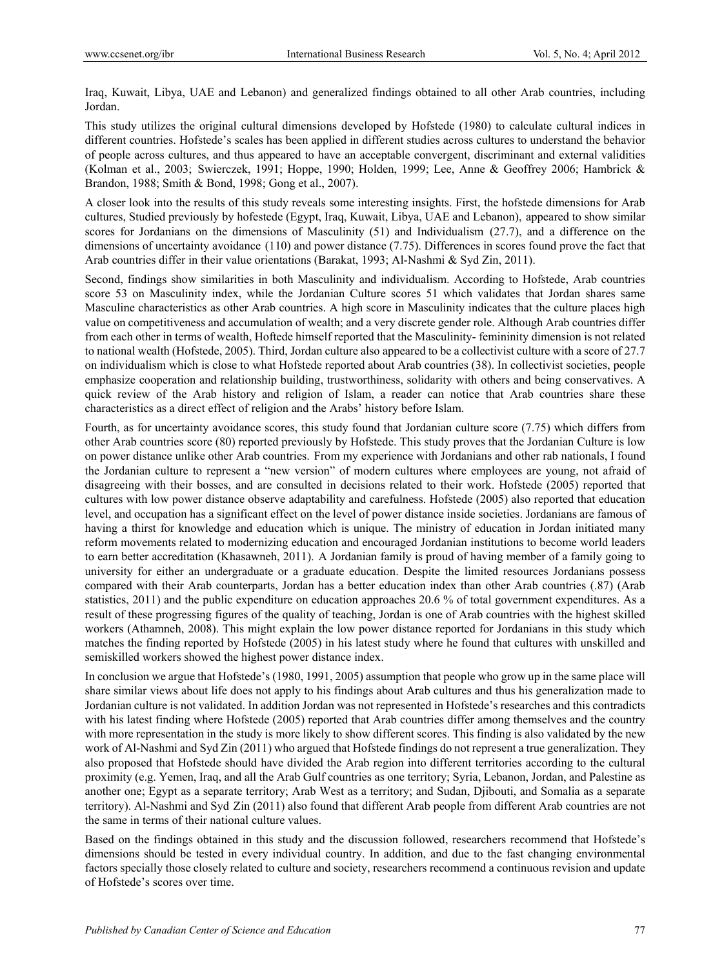Iraq, Kuwait, Libya, UAE and Lebanon) and generalized findings obtained to all other Arab countries, including Jordan.

This study utilizes the original cultural dimensions developed by Hofstede (1980) to calculate cultural indices in different countries. Hofstede's scales has been applied in different studies across cultures to understand the behavior of people across cultures, and thus appeared to have an acceptable convergent, discriminant and external validities (Kolman et al., 2003; Swierczek, 1991; Hoppe, 1990; Holden, 1999; Lee, Anne & Geoffrey 2006; Hambrick & Brandon, 1988; Smith & Bond, 1998; Gong et al., 2007).

A closer look into the results of this study reveals some interesting insights. First, the hofstede dimensions for Arab cultures, Studied previously by hofestede (Egypt, Iraq, Kuwait, Libya, UAE and Lebanon), appeared to show similar scores for Jordanians on the dimensions of Masculinity (51) and Individualism (27.7), and a difference on the dimensions of uncertainty avoidance (110) and power distance (7.75). Differences in scores found prove the fact that Arab countries differ in their value orientations (Barakat, 1993; Al-Nashmi & Syd Zin, 2011).

Second, findings show similarities in both Masculinity and individualism. According to Hofstede, Arab countries score 53 on Masculinity index, while the Jordanian Culture scores 51 which validates that Jordan shares same Masculine characteristics as other Arab countries. A high score in Masculinity indicates that the culture places high value on competitiveness and accumulation of wealth; and a very discrete gender role. Although Arab countries differ from each other in terms of wealth, Hoftede himself reported that the Masculinity- femininity dimension is not related to national wealth (Hofstede, 2005). Third, Jordan culture also appeared to be a collectivist culture with a score of 27.7 on individualism which is close to what Hofstede reported about Arab countries (38). In collectivist societies, people emphasize cooperation and relationship building, trustworthiness, solidarity with others and being conservatives. A quick review of the Arab history and religion of Islam, a reader can notice that Arab countries share these characteristics as a direct effect of religion and the Arabs' history before Islam.

Fourth, as for uncertainty avoidance scores, this study found that Jordanian culture score (7.75) which differs from other Arab countries score (80) reported previously by Hofstede. This study proves that the Jordanian Culture is low on power distance unlike other Arab countries. From my experience with Jordanians and other rab nationals, I found the Jordanian culture to represent a "new version" of modern cultures where employees are young, not afraid of disagreeing with their bosses, and are consulted in decisions related to their work. Hofstede (2005) reported that cultures with low power distance observe adaptability and carefulness. Hofstede (2005) also reported that education level, and occupation has a significant effect on the level of power distance inside societies. Jordanians are famous of having a thirst for knowledge and education which is unique. The ministry of education in Jordan initiated many reform movements related to modernizing education and encouraged Jordanian institutions to become world leaders to earn better accreditation (Khasawneh, 2011). A Jordanian family is proud of having member of a family going to university for either an undergraduate or a graduate education. Despite the limited resources Jordanians possess compared with their Arab counterparts, Jordan has a better education index than other Arab countries (.87) (Arab statistics, 2011) and the public expenditure on education approaches 20.6 % of total government expenditures. As a result of these progressing figures of the quality of teaching, Jordan is one of Arab countries with the highest skilled workers (Athamneh, 2008). This might explain the low power distance reported for Jordanians in this study which matches the finding reported by Hofstede (2005) in his latest study where he found that cultures with unskilled and semiskilled workers showed the highest power distance index.

In conclusion we argue that Hofstede's (1980, 1991, 2005) assumption that people who grow up in the same place will share similar views about life does not apply to his findings about Arab cultures and thus his generalization made to Jordanian culture is not validated. In addition Jordan was not represented in Hofstede's researches and this contradicts with his latest finding where Hofstede (2005) reported that Arab countries differ among themselves and the country with more representation in the study is more likely to show different scores. This finding is also validated by the new work of Al-Nashmi and Syd Zin (2011) who argued that Hofstede findings do not represent a true generalization. They also proposed that Hofstede should have divided the Arab region into different territories according to the cultural proximity (e.g. Yemen, Iraq, and all the Arab Gulf countries as one territory; Syria, Lebanon, Jordan, and Palestine as another one; Egypt as a separate territory; Arab West as a territory; and Sudan, Djibouti, and Somalia as a separate territory). Al-Nashmi and Syd Zin (2011) also found that different Arab people from different Arab countries are not the same in terms of their national culture values.

Based on the findings obtained in this study and the discussion followed, researchers recommend that Hofstede's dimensions should be tested in every individual country. In addition, and due to the fast changing environmental factors specially those closely related to culture and society, researchers recommend a continuous revision and update of Hofstede's scores over time.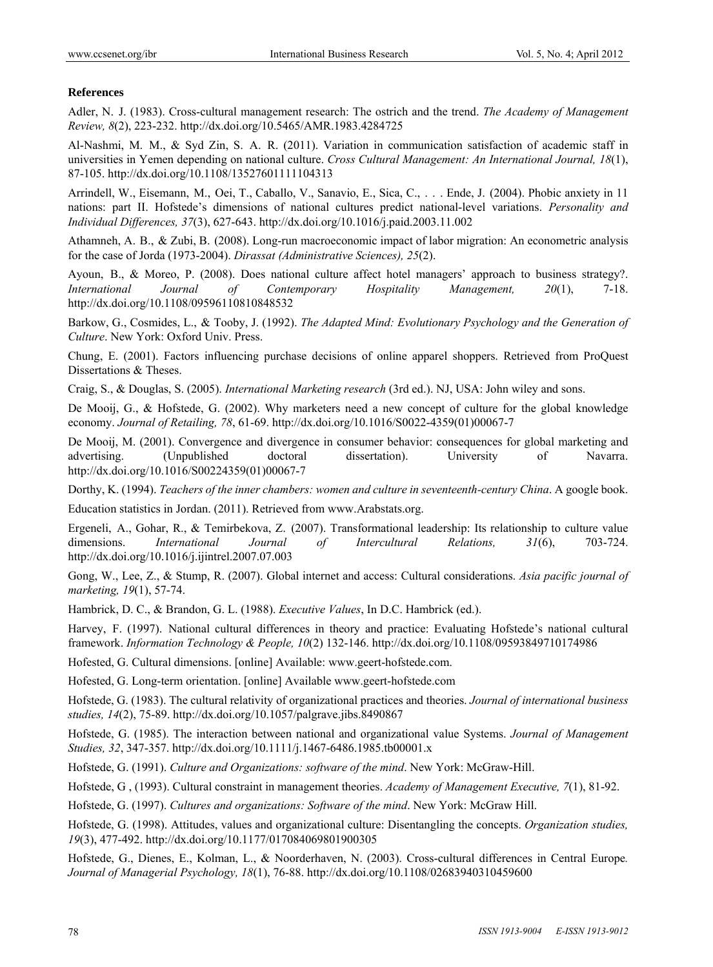# **References**

Adler, N. J. (1983). Cross-cultural management research: The ostrich and the trend. *The Academy of Management Review, 8*(2), 223-232. http://dx.doi.org/10.5465/AMR.1983.4284725

Al-Nashmi, M. M., & Syd Zin, S. A. R. (2011). Variation in communication satisfaction of academic staff in universities in Yemen depending on national culture. *Cross Cultural Management: An International Journal, 18*(1), 87-105. http://dx.doi.org/10.1108/13527601111104313

Arrindell, W., Eisemann, M., Oei, T., Caballo, V., Sanavio, E., Sica, C., . . . Ende, J. (2004). Phobic anxiety in 11 nations: part II. Hofstede's dimensions of national cultures predict national-level variations. *Personality and Individual Differences, 37*(3), 627-643. http://dx.doi.org/10.1016/j.paid.2003.11.002

Athamneh, A. B., & Zubi, B. (2008). Long-run macroeconomic impact of labor migration: An econometric analysis for the case of Jorda (1973-2004). *Dirassat (Administrative Sciences), 25*(2).

Ayoun, B., & Moreo, P. (2008). Does national culture affect hotel managers' approach to business strategy?. *International Journal of Contemporary Hospitality Management, 20*(1), 7-18. http://dx.doi.org/10.1108/09596110810848532

Barkow, G., Cosmides, L., & Tooby, J. (1992). *The Adapted Mind: Evolutionary Psychology and the Generation of Culture*. New York: Oxford Univ. Press.

Chung, E. (2001). Factors influencing purchase decisions of online apparel shoppers. Retrieved from ProQuest Dissertations & Theses.

Craig, S., & Douglas, S. (2005). *International Marketing research* (3rd ed.). NJ, USA: John wiley and sons.

De Mooij, G., & Hofstede, G. (2002). Why marketers need a new concept of culture for the global knowledge economy. *Journal of Retailing, 78*, 61-69. http://dx.doi.org/10.1016/S0022-4359(01)00067-7

De Mooij, M. (2001). Convergence and divergence in consumer behavior: consequences for global marketing and advertising. (Unpublished doctoral dissertation). University of Navarra. http://dx.doi.org/10.1016/S00224359(01)00067-7

Dorthy, K. (1994). *Teachers of the inner chambers: women and culture in seventeenth-century China*. A google book.

Education statistics in Jordan. (2011). Retrieved from www.Arabstats.org.

Ergeneli, A., Gohar, R., & Temirbekova, Z. (2007). Transformational leadership: Its relationship to culture value dimensions. *International Journal of Intercultural Relations, 31*(6), 703-724. http://dx.doi.org/10.1016/j.ijintrel.2007.07.003

Gong, W., Lee, Z., & Stump, R. (2007). Global internet and access: Cultural considerations. *Asia pacific journal of marketing, 19*(1), 57-74.

Hambrick, D. C., & Brandon, G. L. (1988). *Executive Values*, In D.C. Hambrick (ed.).

Harvey, F. (1997). National cultural differences in theory and practice: Evaluating Hofstede's national cultural framework. *Information Technology & People, 10*(2) 132-146. http://dx.doi.org/10.1108/09593849710174986

Hofested, G. Cultural dimensions. [online] Available: www.geert-hofstede.com.

Hofested, G. Long-term orientation. [online] Available www.geert-hofstede.com

Hofstede, G. (1983). The cultural relativity of organizational practices and theories. *Journal of international business studies, 14*(2), 75-89. http://dx.doi.org/10.1057/palgrave.jibs.8490867

Hofstede, G. (1985). The interaction between national and organizational value Systems. *Journal of Management Studies, 32*, 347-357. http://dx.doi.org/10.1111/j.1467-6486.1985.tb00001.x

Hofstede, G. (1991). *Culture and Organizations: software of the mind*. New York: McGraw-Hill.

Hofstede, G , (1993). Cultural constraint in management theories. *Academy of Management Executive, 7*(1), 81-92.

Hofstede, G. (1997). *Cultures and organizations: Software of the mind*. New York: McGraw Hill.

Hofstede, G. (1998). Attitudes, values and organizational culture: Disentangling the concepts. *Organization studies, 19*(3), 477-492. http://dx.doi.org/10.1177/017084069801900305

Hofstede, G., Dienes, E., Kolman, L., & Noorderhaven, N. (2003). Cross-cultural differences in Central Europe*. Journal of Managerial Psychology, 18*(1), 76-88. http://dx.doi.org/10.1108/02683940310459600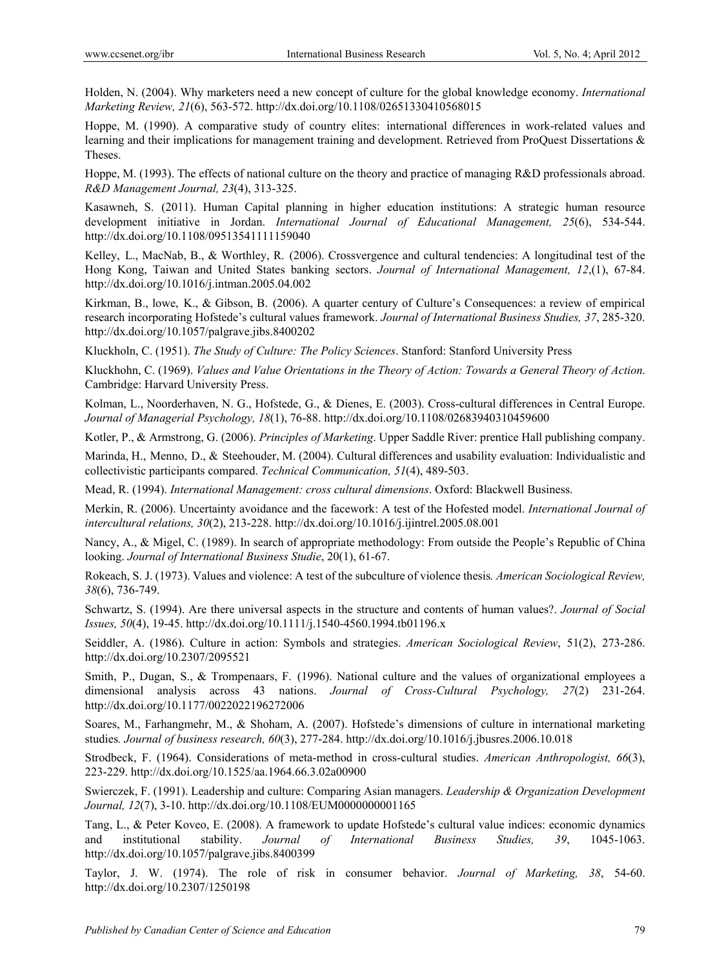Holden, N. (2004). Why marketers need a new concept of culture for the global knowledge economy. *International Marketing Review, 21*(6), 563-572. http://dx.doi.org/10.1108/02651330410568015

Hoppe, M. (1990). A comparative study of country elites: international differences in work-related values and learning and their implications for management training and development. Retrieved from ProQuest Dissertations & Theses.

Hoppe, M. (1993). The effects of national culture on the theory and practice of managing R&D professionals abroad. *R&D Management Journal, 23*(4), 313-325.

Kasawneh, S. (2011). Human Capital planning in higher education institutions: A strategic human resource development initiative in Jordan. *International Journal of Educational Management, 25*(6), 534-544. http://dx.doi.org/10.1108/09513541111159040

Kelley, L., MacNab, B., & Worthley, R. (2006). Crossvergence and cultural tendencies: A longitudinal test of the Hong Kong, Taiwan and United States banking sectors. *Journal of International Management, 12*,(1), 67-84. http://dx.doi.org/10.1016/j.intman.2005.04.002

Kirkman, B., lowe, K., & Gibson, B. (2006). A quarter century of Culture's Consequences: a review of empirical research incorporating Hofstede's cultural values framework. *Journal of International Business Studies, 37*, 285-320. http://dx.doi.org/10.1057/palgrave.jibs.8400202

Kluckholn, C. (1951). *The Study of Culture: The Policy Sciences*. Stanford: Stanford University Press

Kluckhohn, C. (1969). *Values and Value Orientations in the Theory of Action: Towards a General Theory of Action*. Cambridge: Harvard University Press.

Kolman, L., Noorderhaven, N. G., Hofstede, G., & Dienes, E. (2003). Cross-cultural differences in Central Europe. *Journal of Managerial Psychology, 18*(1), 76-88. http://dx.doi.org/10.1108/02683940310459600

Kotler, P., & Armstrong, G. (2006). *Principles of Marketing*. Upper Saddle River: prentice Hall publishing company.

Marinda, H., Menno, D., & Steehouder, M. (2004). Cultural differences and usability evaluation: Individualistic and collectivistic participants compared. *Technical Communication, 51*(4), 489-503.

Mead, R. (1994). *International Management: cross cultural dimensions*. Oxford: Blackwell Business.

Merkin, R. (2006). Uncertainty avoidance and the facework: A test of the Hofested model. *International Journal of intercultural relations, 30*(2), 213-228. http://dx.doi.org/10.1016/j.ijintrel.2005.08.001

Nancy, A., & Migel, C. (1989). In search of appropriate methodology: From outside the People's Republic of China looking. *Journal of International Business Studie*, 20(1), 61-67.

Rokeach, S. J. (1973). Values and violence: A test of the subculture of violence thesis*. American Sociological Review, 38*(6), 736-749.

Schwartz, S. (1994). Are there universal aspects in the structure and contents of human values?. *Journal of Social Issues, 50*(4), 19-45. http://dx.doi.org/10.1111/j.1540-4560.1994.tb01196.x

Seiddler, A. (1986). Culture in action: Symbols and strategies. *American Sociological Review*, 51(2), 273-286. http://dx.doi.org/10.2307/2095521

Smith, P., Dugan, S., & Trompenaars, F. (1996). National culture and the values of organizational employees a dimensional analysis across 43 nations. *Journal of Cross-Cultural Psychology, 27*(2) 231-264. http://dx.doi.org/10.1177/0022022196272006

Soares, M., Farhangmehr, M., & Shoham, A. (2007). Hofstede's dimensions of culture in international marketing studies*. Journal of business research, 60*(3), 277-284. http://dx.doi.org/10.1016/j.jbusres.2006.10.018

Strodbeck, F. (1964). Considerations of meta-method in cross-cultural studies. *American Anthropologist, 66*(3), 223-229. http://dx.doi.org/10.1525/aa.1964.66.3.02a00900

Swierczek, F. (1991). Leadership and culture: Comparing Asian managers. *Leadership & Organization Development Journal, 12*(7), 3-10. http://dx.doi.org/10.1108/EUM0000000001165

Tang, L., & Peter Koveo, E. (2008). A framework to update Hofstede's cultural value indices: economic dynamics and institutional stability. *Journal of International Business Studies, 39*, 1045-1063. http://dx.doi.org/10.1057/palgrave.jibs.8400399

Taylor, J. W. (1974). The role of risk in consumer behavior. *Journal of Marketing, 38*, 54-60. http://dx.doi.org/10.2307/1250198